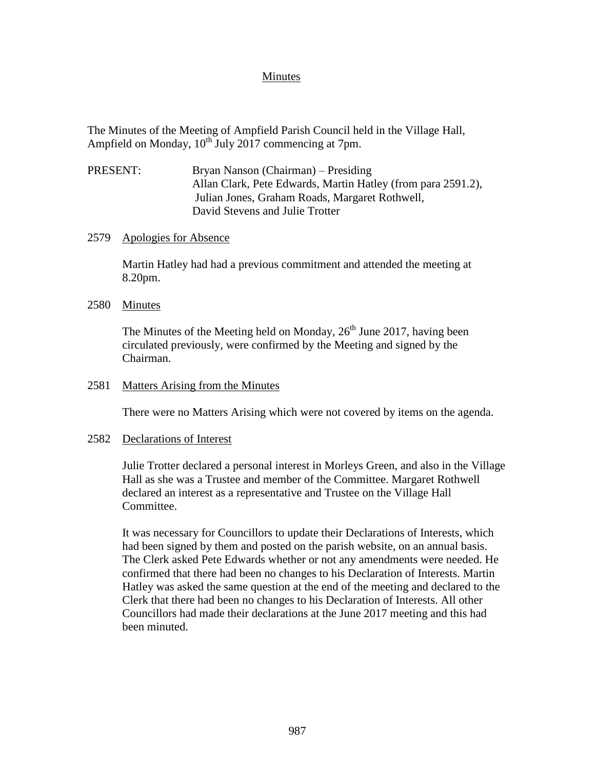## Minutes

The Minutes of the Meeting of Ampfield Parish Council held in the Village Hall, Ampfield on Monday,  $10^{th}$  July 2017 commencing at 7pm.

PRESENT: Bryan Nanson (Chairman) – Presiding Allan Clark, Pete Edwards, Martin Hatley (from para 2591.2), Julian Jones, Graham Roads, Margaret Rothwell, David Stevens and Julie Trotter

## 2579 Apologies for Absence

Martin Hatley had had a previous commitment and attended the meeting at 8.20pm.

## 2580 Minutes

The Minutes of the Meeting held on Monday,  $26<sup>th</sup>$  June 2017, having been circulated previously, were confirmed by the Meeting and signed by the Chairman.

#### 2581 Matters Arising from the Minutes

There were no Matters Arising which were not covered by items on the agenda.

## 2582 Declarations of Interest

Julie Trotter declared a personal interest in Morleys Green, and also in the Village Hall as she was a Trustee and member of the Committee. Margaret Rothwell declared an interest as a representative and Trustee on the Village Hall Committee.

It was necessary for Councillors to update their Declarations of Interests, which had been signed by them and posted on the parish website, on an annual basis. The Clerk asked Pete Edwards whether or not any amendments were needed. He confirmed that there had been no changes to his Declaration of Interests. Martin Hatley was asked the same question at the end of the meeting and declared to the Clerk that there had been no changes to his Declaration of Interests. All other Councillors had made their declarations at the June 2017 meeting and this had been minuted.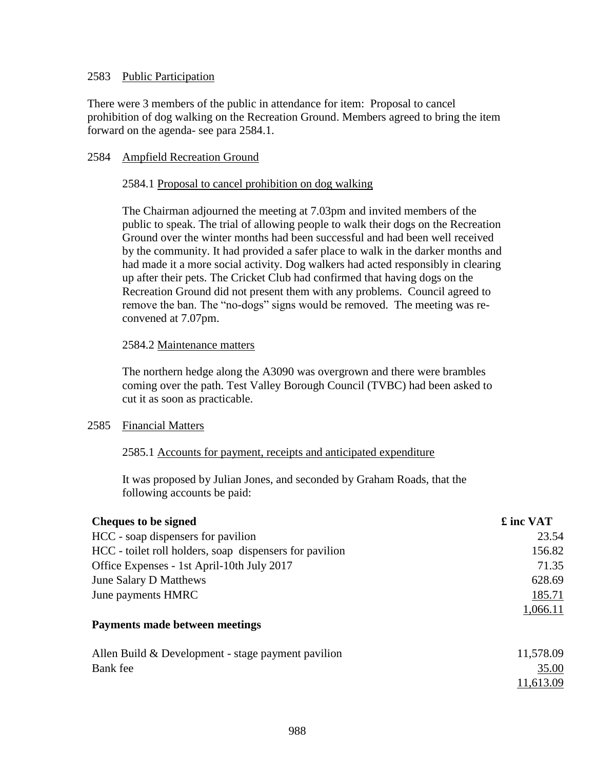## 2583 Public Participation

There were 3 members of the public in attendance for item: Proposal to cancel prohibition of dog walking on the Recreation Ground. Members agreed to bring the item forward on the agenda- see para 2584.1.

# 2584 Ampfield Recreation Ground

## 2584.1 Proposal to cancel prohibition on dog walking

The Chairman adjourned the meeting at 7.03pm and invited members of the public to speak. The trial of allowing people to walk their dogs on the Recreation Ground over the winter months had been successful and had been well received by the community. It had provided a safer place to walk in the darker months and had made it a more social activity. Dog walkers had acted responsibly in clearing up after their pets. The Cricket Club had confirmed that having dogs on the Recreation Ground did not present them with any problems. Council agreed to remove the ban. The "no-dogs" signs would be removed. The meeting was reconvened at 7.07pm.

## 2584.2 Maintenance matters

The northern hedge along the A3090 was overgrown and there were brambles coming over the path. Test Valley Borough Council (TVBC) had been asked to cut it as soon as practicable.

# 2585 Financial Matters

# 2585.1 Accounts for payment, receipts and anticipated expenditure

It was proposed by Julian Jones, and seconded by Graham Roads, that the following accounts be paid:

| HCC - soap dispensers for pavilion<br>HCC - toilet roll holders, soap dispensers for pavilion | 23.54<br>156.82 |
|-----------------------------------------------------------------------------------------------|-----------------|
|                                                                                               |                 |
|                                                                                               |                 |
| Office Expenses - 1st April-10th July 2017                                                    | 71.35           |
| June Salary D Matthews                                                                        | 628.69          |
| June payments HMRC                                                                            | 185.71          |
|                                                                                               | 1,066.11        |
| Payments made between meetings                                                                |                 |
| Allen Build & Development - stage payment pavilion                                            | 11,578.09       |
| Bank fee                                                                                      | 35.00           |
|                                                                                               | 11,613.09       |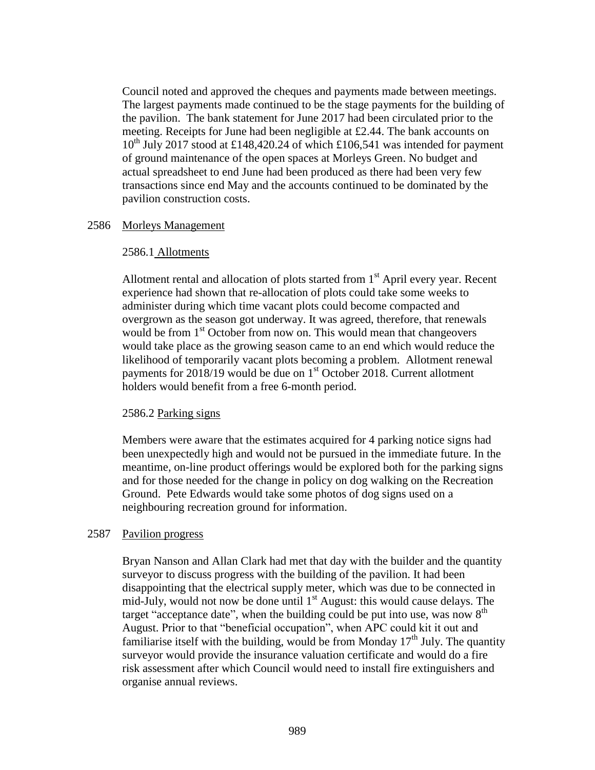Council noted and approved the cheques and payments made between meetings. The largest payments made continued to be the stage payments for the building of the pavilion. The bank statement for June 2017 had been circulated prior to the meeting. Receipts for June had been negligible at  $£2.44$ . The bank accounts on  $10^{th}$  July 2017 stood at £148,420.24 of which £106,541 was intended for payment of ground maintenance of the open spaces at Morleys Green. No budget and actual spreadsheet to end June had been produced as there had been very few transactions since end May and the accounts continued to be dominated by the pavilion construction costs.

## 2586 Morleys Management

#### 2586.1 Allotments

Allotment rental and allocation of plots started from  $1<sup>st</sup>$  April every year. Recent experience had shown that re-allocation of plots could take some weeks to administer during which time vacant plots could become compacted and overgrown as the season got underway. It was agreed, therefore, that renewals would be from 1<sup>st</sup> October from now on. This would mean that changeovers would take place as the growing season came to an end which would reduce the likelihood of temporarily vacant plots becoming a problem. Allotment renewal payments for  $2018/19$  would be due on  $1<sup>st</sup>$  October 2018. Current allotment holders would benefit from a free 6-month period.

## 2586.2 Parking signs

Members were aware that the estimates acquired for 4 parking notice signs had been unexpectedly high and would not be pursued in the immediate future. In the meantime, on-line product offerings would be explored both for the parking signs and for those needed for the change in policy on dog walking on the Recreation Ground. Pete Edwards would take some photos of dog signs used on a neighbouring recreation ground for information.

## 2587 Pavilion progress

Bryan Nanson and Allan Clark had met that day with the builder and the quantity surveyor to discuss progress with the building of the pavilion. It had been disappointing that the electrical supply meter, which was due to be connected in mid-July, would not now be done until  $1<sup>st</sup>$  August: this would cause delays. The target "acceptance date", when the building could be put into use, was now  $8<sup>th</sup>$ August. Prior to that "beneficial occupation", when APC could kit it out and familiarise itself with the building, would be from Monday  $17<sup>th</sup>$  July. The quantity surveyor would provide the insurance valuation certificate and would do a fire risk assessment after which Council would need to install fire extinguishers and organise annual reviews.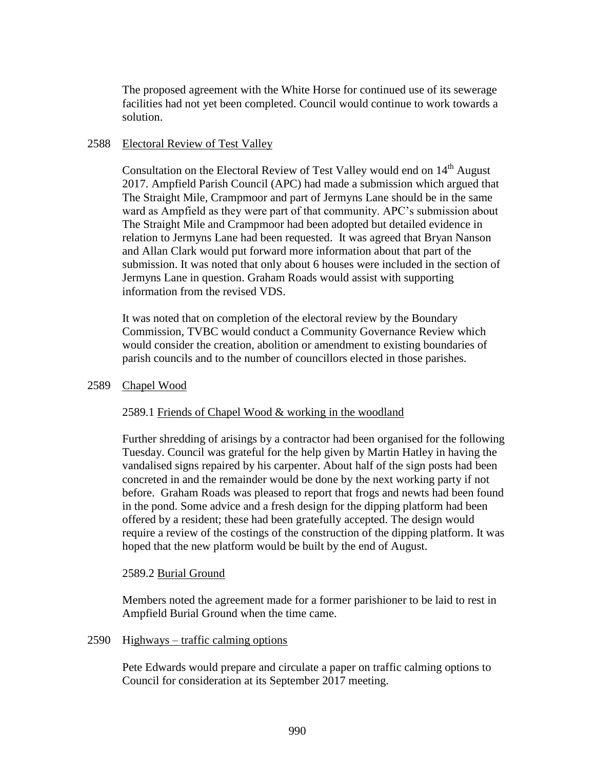The proposed agreement with the White Horse for continued use of its sewerage facilities had not yet been completed. Council would continue to work towards a solution.

## 2588 Electoral Review of Test Valley

Consultation on the Electoral Review of Test Valley would end on 14<sup>th</sup> August 2017. Ampfield Parish Council (APC) had made a submission which argued that The Straight Mile, Crampmoor and part of Jermyns Lane should be in the same ward as Ampfield as they were part of that community. APC's submission about The Straight Mile and Crampmoor had been adopted but detailed evidence in relation to Jermyns Lane had been requested. It was agreed that Bryan Nanson and Allan Clark would put forward more information about that part of the submission. It was noted that only about 6 houses were included in the section of Jermyns Lane in question. Graham Roads would assist with supporting information from the revised VDS.

It was noted that on completion of the electoral review by the Boundary Commission, TVBC would conduct a Community Governance Review which would consider the creation, abolition or amendment to existing boundaries of parish councils and to the number of councillors elected in those parishes.

## 2589 Chapel Wood

# 2589.1 Friends of Chapel Wood & working in the woodland

Further shredding of arisings by a contractor had been organised for the following Tuesday. Council was grateful for the help given by Martin Hatley in having the vandalised signs repaired by his carpenter. About half of the sign posts had been concreted in and the remainder would be done by the next working party if not before. Graham Roads was pleased to report that frogs and newts had been found in the pond. Some advice and a fresh design for the dipping platform had been offered by a resident; these had been gratefully accepted. The design would require a review of the costings of the construction of the dipping platform. It was hoped that the new platform would be built by the end of August.

## 2589.2 Burial Ground

Members noted the agreement made for a former parishioner to be laid to rest in Ampfield Burial Ground when the time came.

## 2590 Highways – traffic calming options

Pete Edwards would prepare and circulate a paper on traffic calming options to Council for consideration at its September 2017 meeting.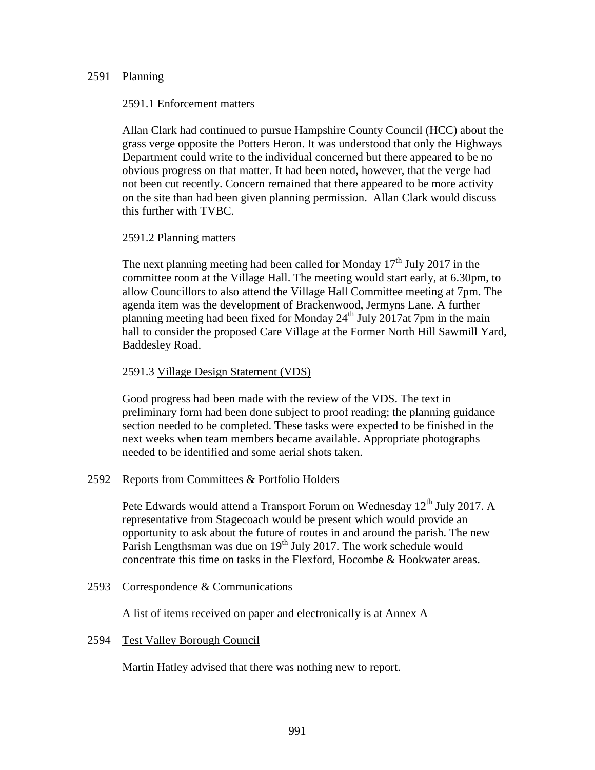## 2591 Planning

## 2591.1 Enforcement matters

Allan Clark had continued to pursue Hampshire County Council (HCC) about the grass verge opposite the Potters Heron. It was understood that only the Highways Department could write to the individual concerned but there appeared to be no obvious progress on that matter. It had been noted, however, that the verge had not been cut recently. Concern remained that there appeared to be more activity on the site than had been given planning permission. Allan Clark would discuss this further with TVBC.

## 2591.2 Planning matters

The next planning meeting had been called for Monday  $17<sup>th</sup>$  July 2017 in the committee room at the Village Hall. The meeting would start early, at 6.30pm, to allow Councillors to also attend the Village Hall Committee meeting at 7pm. The agenda item was the development of Brackenwood, Jermyns Lane. A further planning meeting had been fixed for Monday  $24<sup>th</sup>$  July 2017at 7pm in the main hall to consider the proposed Care Village at the Former North Hill Sawmill Yard, Baddesley Road.

# 2591.3 Village Design Statement (VDS)

Good progress had been made with the review of the VDS. The text in preliminary form had been done subject to proof reading; the planning guidance section needed to be completed. These tasks were expected to be finished in the next weeks when team members became available. Appropriate photographs needed to be identified and some aerial shots taken.

# 2592 Reports from Committees & Portfolio Holders

Pete Edwards would attend a Transport Forum on Wednesday 12<sup>th</sup> July 2017. A representative from Stagecoach would be present which would provide an opportunity to ask about the future of routes in and around the parish. The new Parish Lengthsman was due on 19<sup>th</sup> July 2017. The work schedule would concentrate this time on tasks in the Flexford, Hocombe & Hookwater areas.

## 2593 Correspondence & Communications

A list of items received on paper and electronically is at Annex A

## 2594 Test Valley Borough Council

Martin Hatley advised that there was nothing new to report.